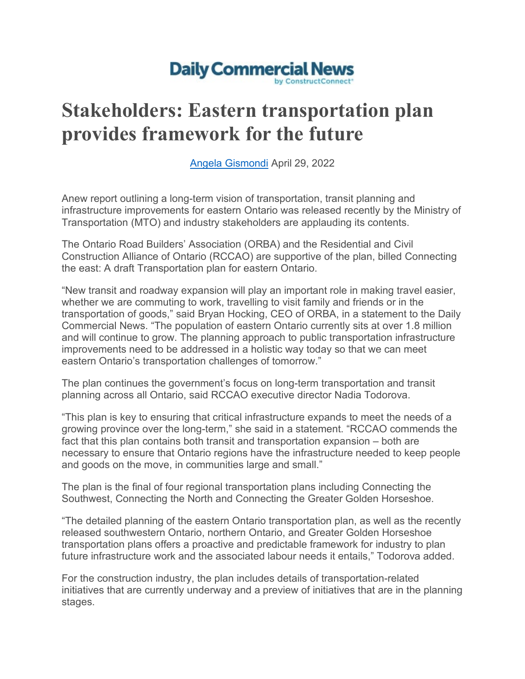## **Daily Commercial News**

## **Stakeholders: Eastern transportation plan provides framework for the future**

[Angela Gismondi](https://twitter.com/dcn_angela?lang=en) April 29, 2022

Anew report outlining a long-term vision of transportation, transit planning and infrastructure improvements for eastern Ontario was released recently by the Ministry of Transportation (MTO) and industry stakeholders are applauding its contents.

The Ontario Road Builders' Association (ORBA) and the Residential and Civil Construction Alliance of Ontario (RCCAO) are supportive of the plan, billed Connecting the east: A draft Transportation plan for eastern Ontario.

"New transit and roadway expansion will play an important role in making travel easier, whether we are commuting to work, travelling to visit family and friends or in the transportation of goods," said Bryan Hocking, CEO of ORBA, in a statement to the Daily Commercial News. "The population of eastern Ontario currently sits at over 1.8 million and will continue to grow. The planning approach to public transportation infrastructure improvements need to be addressed in a holistic way today so that we can meet eastern Ontario's transportation challenges of tomorrow."

The plan continues the government's focus on long-term transportation and transit planning across all Ontario, said RCCAO executive director Nadia Todorova.

"This plan is key to ensuring that critical infrastructure expands to meet the needs of a growing province over the long-term," she said in a statement. "RCCAO commends the fact that this plan contains both transit and transportation expansion – both are necessary to ensure that Ontario regions have the infrastructure needed to keep people and goods on the move, in communities large and small."

The plan is the final of four regional transportation plans including Connecting the Southwest, Connecting the North and Connecting the Greater Golden Horseshoe.

"The detailed planning of the eastern Ontario transportation plan, as well as the recently released southwestern Ontario, northern Ontario, and Greater Golden Horseshoe transportation plans offers a proactive and predictable framework for industry to plan future infrastructure work and the associated labour needs it entails," Todorova added.

For the construction industry, the plan includes details of transportation-related initiatives that are currently underway and a preview of initiatives that are in the planning stages.